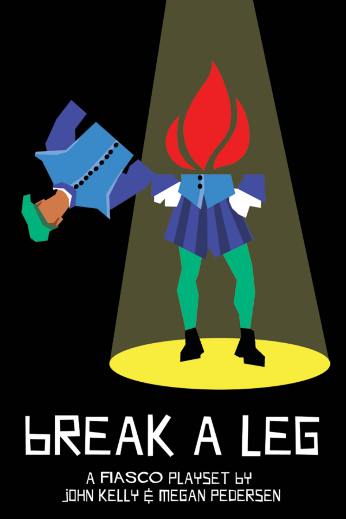

# **HREAK A LEG**

A FIASCO PLAYSET LY **JOHN KELLY & MEGAN PEDERSEN**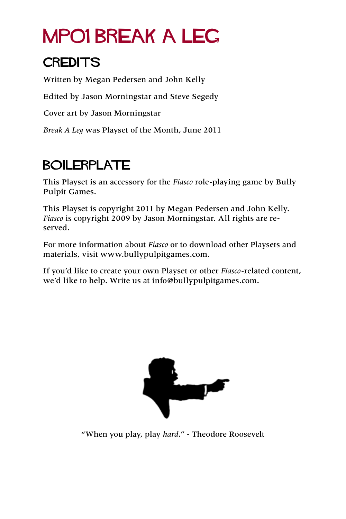## MP01 BREAK A LEG

#### **CREDITS**

Written by Megan Pedersen and John Kelly Edited by Jason Morningstar and Steve Segedy Cover art by Jason Morningstar *Break A Leg* was Playset of the Month, June 2011

## BOILERPLATE

This Playset is an accessory for the *Fiasco* role-playing game by Bully Pulpit Games.

This Playset is copyright 2011 by Megan Pedersen and John Kelly. *Fiasco* is copyright 2009 by Jason Morningstar. All rights are reserved.

For more information about *Fiasco* or to download other Playsets and materials, visit<www.bullypulpitgames.com>.

If you'd like to create your own Playset or other *Fiasco*-related content, we'd like to help. Write us at [info@bullypulpitgames.com.](mailto:info%40bullypulpitgames.com?subject=)



"When you play, play *hard*." - Theodore Roosevelt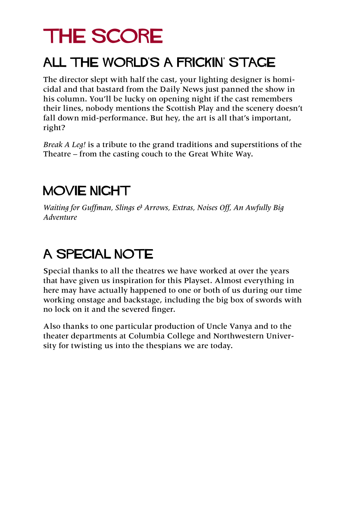## THE SCORE

#### ALL THE WORLD'S A FRICKIN' STAGE

The director slept with half the cast, your lighting designer is homicidal and that bastard from the Daily News just panned the show in his column. You'll be lucky on opening night if the cast remembers their lines, nobody mentions the Scottish Play and the scenery doesn't fall down mid-performance. But hey, the art is all that's important, right?

*Break A Leg!* is a tribute to the grand traditions and superstitions of the Theatre **–** from the casting couch to the Great White Way.

#### MOVIE NIGHT

*Waiting for Guffman, Slings & Arrows, Extras, Noises Off, An Awfully Big Adventure*

#### A SPECIAL NOTE

Special thanks to all the theatres we have worked at over the years that have given us inspiration for this Playset. Almost everything in here may have actually happened to one or both of us during our time working onstage and backstage, including the big box of swords with no lock on it and the severed finger.

Also thanks to one particular production of Uncle Vanya and to the theater departments at Columbia College and Northwestern University for twisting us into the thespians we are today.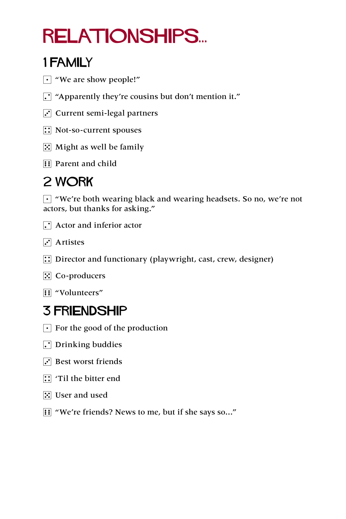# relationships...

#### 1 FAMILY

- $\lceil \cdot \rceil$  "We are show people!"
- $\Gamma$  "Apparently they're cousins but don't mention it."
- $\Gamma$  Current semi-legal partners
- **::** Not-so-current spouses
- $\mathbb{E}$  Might as well be family
- **1** Parent and child

## 2 WORK

 $\cdot$  "We're both wearing black and wearing headsets. So no, we're not actors, but thanks for asking."

- $\Gamma$  Actor and inferior actor
- $\Gamma$  Artistes
- $::$  Director and functionary (playwright, cast, crew, designer)
- $\mathbb{E}$  Co-producers
- **1**: "Volunteers"

#### 3 FRIENDSHIP

- $\lceil \cdot \rceil$  For the good of the production
- $\Gamma$  Drinking buddies
- $\Gamma$  Best worst friends
- **::** 'Til the bitter end
- $\mathbb{E}$  User and used
- **11** "We're friends? News to me, but if she says so..."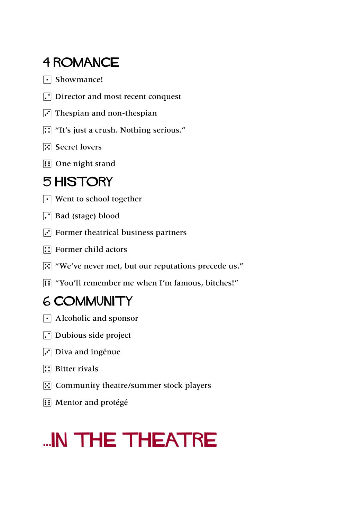#### 4 ROMANCE

- $\lceil \cdot \rceil$  Showmance!
- $\Gamma$  Director and most recent conquest
- $\overline{3}$  Thespian and non-thespian
- **1**: "It's just a crush. Nothing serious."
- $\mathbb{E}$  Secret lovers
- $\mathbf{F}$  One night stand

#### 5 HISTORY

- $\cdot$  Went to school together
- $\cdot$  Bad (stage) blood
- $\ddot{\cdot}$  Former theatrical business partners
- **1**: Former child actors
- E "We've never met, but our reputations precede us."
- **11** "You'll remember me when I'm famous, bitches!"

#### 6 COMMUNITY

- $\lceil \cdot \rceil$  Alcoholic and sponsor
- $\Gamma$  Dubious side project
- $\overline{3}$  Diva and ingénue
- $\boxed{\therefore}$  Bitter rivals
- $\mathbb{E}$  Community theatre/summer stock players
- **1** Mentor and protégé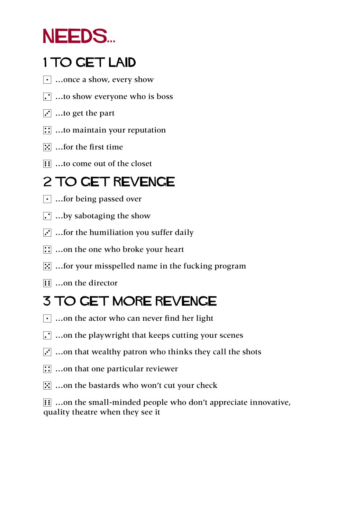## NEEDS...

## 1 TO GET LAID

- $\lceil \cdot \rceil$  ...once a show, every show
- $\Gamma$  …to show everyone who is boss
- $\boxed{\cdot}$  ...to get the part
- $\boxed{\therefore}$  ...to maintain your reputation
- $\mathbb{E}$  ... for the first time
- **1** …to come out of the closet

## 2 TO GET REVENGE

- $\lceil \cdot \rceil$  ...for being passed over
- $\cdot$  ...by sabotaging the show
- $\ddot{\cdot}$  ... for the humiliation you suffer daily
- $\mathbb{R}$  ...on the one who broke your heart
- $\mathbb{E}$  ... for your misspelled name in the fucking program
- **1** …on the director

#### 3 TO GET MORE REVENGE

- $\lceil \cdot \rceil$  ...on the actor who can never find her light
- $\cdot$  ...on the playwright that keeps cutting your scenes
- $\ddot{\cdot}$  ...on that wealthy patron who thinks they call the shots
- $\boxed{\therefore}$  ...on that one particular reviewer
- **F.** ...on the bastards who won't cut your check

**11** ...on the small-minded people who don't appreciate innovative, quality theatre when they see it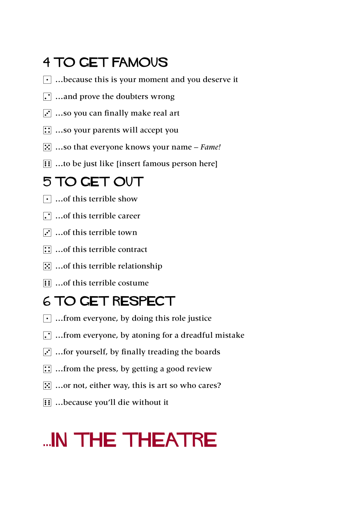#### 4 TO GET FAMOUS

- $\lceil \cdot \rceil$  ... because this is your moment and you deserve it
- $\Gamma$  …and prove the doubters wrong
- $\ddot{\mathbf{3}}$  ...so you can finally make real art
- $\boxed{::}$  ...so your parents will accept you
- 5 …so that everyone knows your name **–** *Fame!*
- **11** ...to be just like [insert famous person here]

#### 5 TO GET OUT

- $\lceil \cdot \rceil$  ... of this terrible show
- $\Gamma$  ... of this terrible career
- $\ddot{\cdot}$  ... of this terrible town
- $\boxed{\therefore}$  ... of this terrible contract
- $\mathbb{E}$  ... of this terrible relationship
- **1** …of this terrible costume

#### 6 TO GET RESPECT

- $\lceil \cdot \rceil$  ... from everyone, by doing this role justice
- $\Gamma$  ... from everyone, by atoning for a dreadful mistake
- $\overline{3}$  ... for yourself, by finally treading the boards
- $\boxed{\therefore}$  ... from the press, by getting a good review
- $\mathbb{E}$  ... or not, either way, this is art so who cares?
- **11** …because you'll die without it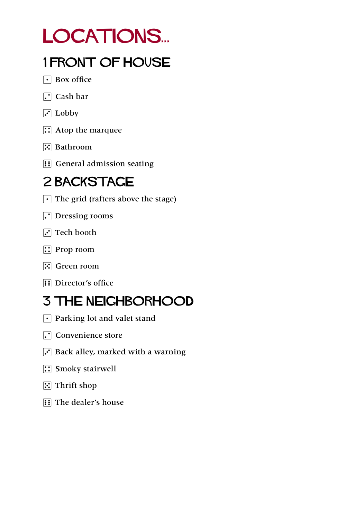## LOCATIONS...

#### 1 FRONT OF HOUSE

- $\lceil \cdot \rceil$  Box office
- $\Box$  Cash bar
- $\overline{|\cdot|}$  Lobby
- $\boxed{\therefore}$  Atop the marquee
- **3** Bathroom
- **1**: General admission seating

#### 2 BACKSTAGE

- $\lceil \cdot \rceil$  The grid (rafters above the stage)
- **Dressing rooms**
- $\Gamma$  Tech booth
- $\boxed{\therefore}$  Prop room
- **जिले Green room**
- **1** Director's office

#### 3 THE NEIGHBORHOOD

- $\lceil \cdot \rceil$  Parking lot and valet stand
- $\Gamma$  Convenience store
- $\overline{3}$  Back alley, marked with a warning
- $\boxed{\therefore}$  Smoky stairwell
- $\boxed{5}$  Thrift shop
- **1**: The dealer's house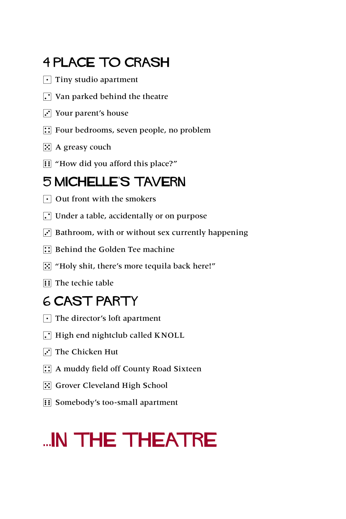## 4 PLACE TO CRASH

- $\lceil \cdot \rceil$  Tiny studio apartment
- $\Gamma$  Van parked behind the theatre
- $\overline{S}$  Your parent's house
- $\boxed{\therefore}$  Four bedrooms, seven people, no problem
- $\mathbb{E}$  A greasy couch
- **1** "How did you afford this place?"

#### 5 MICHELLE'S TAVERN

- $\lceil \cdot \rceil$  Out front with the smokers
- $\cdot$  Under a table, accidentally or on purpose
- $\cdot$  Bathroom, with or without sex currently happening
- **1** Behind the Golden Tee machine
- E "Holy shit, there's more tequila back here!"
- **1** The techie table

#### 6 CAST PARTY

- $\lceil \cdot \rceil$  The director's loft apartment
- $\Gamma$  High end nightclub called KNOLL
- $\overline{3}$  The Chicken Hut
- $\boxed{::}$  A muddy field off County Road Sixteen
- 5 Grover Cleveland High School
- **11 Somebody's too-small apartment**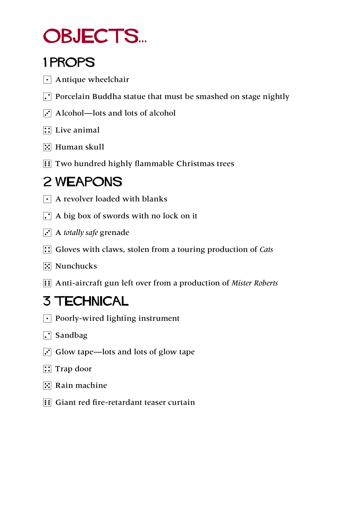## OBJECTS...

#### 1 PROPS

- $\lceil \cdot \rceil$  Antique wheelchair
- $\cdot$  Porcelain Buddha statue that must be smashed on stage nightly
- $\overline{3}$  Alcohol—lots and lots of alcohol
- $\boxed{::}$  Live animal
- $\mathbb{E}$  Human skull
- **FI** Two hundred highly flammable Christmas trees

#### 2 WEAPONS

- $\lceil \cdot \rceil$  A revolver loaded with blanks
- $\cdot$  A big box of swords with no lock on it
- 3 A *totally safe* grenade
- $\therefore$  Gloves with claws, stolen from a touring production of *Cats*
- $\mathbb{E}$  Nunchucks
- 6 Anti-aircraft gun left over from a production of *Mister Roberts*

#### 3 TECHNICAL

- $\lceil \cdot \rceil$  Poorly-wired lighting instrument
- $\Gamma$  Sandbag
- $\cdot$  Glow tape—lots and lots of glow tape
- $\boxed{\therefore}$  Trap door
- $\mathbb{E}$  Rain machine
- **11** Giant red fire-retardant teaser curtain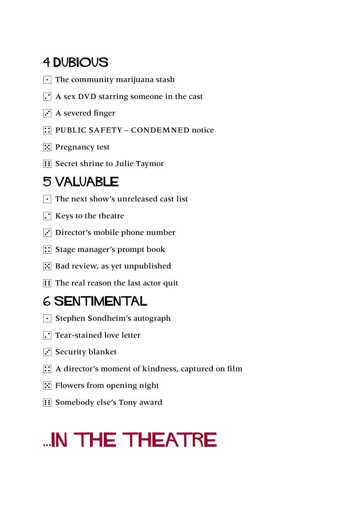#### 4 DUBIOUS

- $\lceil \cdot \rceil$  The community marijuana stash
- $\cdot$  A sex DVD starring someone in the cast
- $\overline{3}$  A severed finger
- $\boxed{::}$  **PUBLIC SAFETY CONDEMNED notice**
- $\mathbb{E}$  Pregnancy test
- **13 Secret shrine to Julie Taymor**

#### 5 VALUABLE

- $\lceil \cdot \rceil$  The next show's unreleased cast list
- $\Gamma$  Keys to the theatre
- $\Gamma$  Director's mobile phone number
- $\mathbb{R}$  Stage manager's prompt book
- $\mathbb{E}$  Bad review, as yet unpublished
- **Filled The real reason the last actor quit**

#### 6 SENTIMENTAL

- $\lceil \cdot \rceil$  Stephen Sondheim's autograph
- $\Gamma$  Tear-stained love letter
- $\Gamma$  Security blanket
- $\therefore$  A director's moment of kindness, captured on film
- $\boxed{5}$  Flowers from opening night
- **11 Somebody else's Tony award**